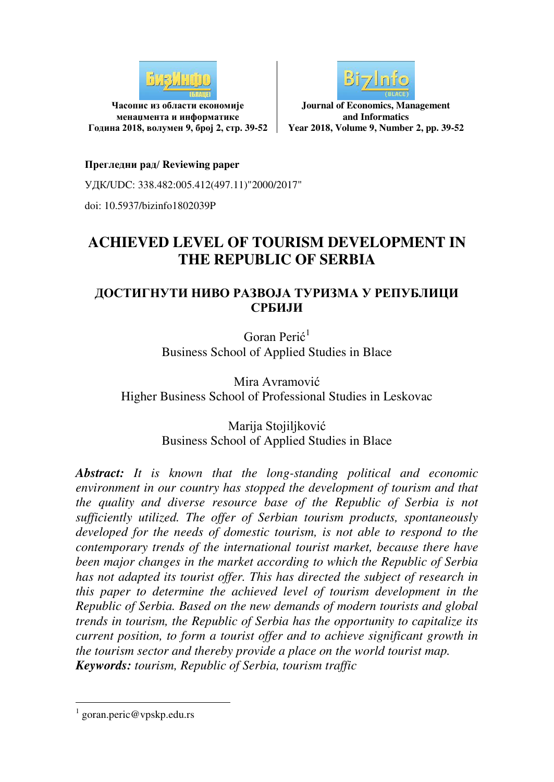

**Часопис из области економије менаџмента и информатике Година 2018, волумен 9, број 2, стр. 39-52**



**Journal of Economics, Management and Informatics Year 2018, Volume 9, Number 2, pp. 39-52**

#### **Прегледни рад/ Reviewing paper**

УДК/UDC: 338.482:005.412(497.11)"2000/2017"

doi: 10.5937/bizinfo1802039P

# **ACHIEVED LEVEL OF TOURISM DEVELOPMENT IN THE REPUBLIC OF SERBIA**

#### **ДОСТИГНУТИ НИВО РАЗВОЈА ТУРИЗМА У РЕПУБЛИЦИ СРБИЈИ**

Goran Perić<sup>1</sup> Business School of Applied Studies in Blace

Mira Avramović Higher Business School of Professional Studies in Leskovac

> Marija Stojiljković Business School of Applied Studies in Blace

*Abstract: It is known that the long-standing political and economic environment in our country has stopped the development of tourism and that the quality and diverse resource base of the Republic of Serbia is not sufficiently utilized. The offer of Serbian tourism products, spontaneously developed for the needs of domestic tourism, is not able to respond to the contemporary trends of the international tourist market, because there have been major changes in the market according to which the Republic of Serbia has not adapted its tourist offer. This has directed the subject of research in this paper to determine the achieved level of tourism development in the Republic of Serbia. Based on the new demands of modern tourists and global trends in tourism, the Republic of Serbia has the opportunity to capitalize its current position, to form a tourist offer and to achieve significant growth in the tourism sector and thereby provide a place on the world tourist map. Keywords: tourism, Republic of Serbia, tourism traffic* 

-

<sup>1</sup> goran.peric@vpskp.edu.rs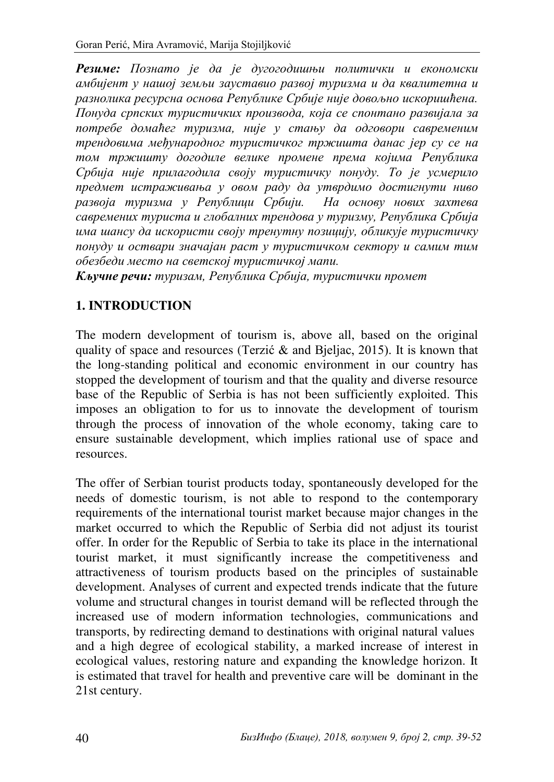*Резиме: Познато је да је дугогодишњи политички и економски амбијент у нашoј земљи зауставио развој туризма и да квалитетна и разнолика ресурсна основа Републике Србије није довољно искоришћена. Понуда српских туристичких производа, која се спонтано развијала за потребе домаћег туризма, није у стању да одговори савременим трендовима међународног туристичког тржишта данас јер су се на том тржишту догодиле велике промене према којима Република Србија није прилагодила своју туристичку понуду. То је усмерило предмет истраживања у овом раду да утврдимо достигнути ниво развоја туризма у Републици Србији. На основу нових захтева савремених туриста и глобалних трендова у туризму, Република Србија има шансу да искористи своју тренутну позицију, обликује туристичку понуду и оствари значајан раст у туристичком сектору и самим тим обезбеди место на светској туристичкој мапи.* 

*Кључне речи: туризам, Република Србија, туристички промет*

# **1. INTRODUCTION**

The modern development of tourism is, above all, based on the original quality of space and resources (Terzić & and Bjeljac, 2015). It is known that the long-standing political and economic environment in our country has stopped the development of tourism and that the quality and diverse resource base of the Republic of Serbia is has not been sufficiently exploited. This imposes an obligation to for us to innovate the development of tourism through the process of innovation of the whole economy, taking care to ensure sustainable development, which implies rational use of space and resources.

The offer of Serbian tourist products today, spontaneously developed for the needs of domestic tourism, is not able to respond to the contemporary requirements of the international tourist market because major changes in the market occurred to which the Republic of Serbia did not adjust its tourist offer. In order for the Republic of Serbia to take its place in the international tourist market, it must significantly increase the competitiveness and attractiveness of tourism products based on the principles of sustainable development. Analyses of current and expected trends indicate that the future volume and structural changes in tourist demand will be reflected through the increased use of modern information technologies, communications and transports, by redirecting demand to destinations with original natural values and a high degree of ecological stability, a marked increase of interest in ecological values, restoring nature and expanding the knowledge horizon. It is estimated that travel for health and preventive care will be dominant in the 21st century.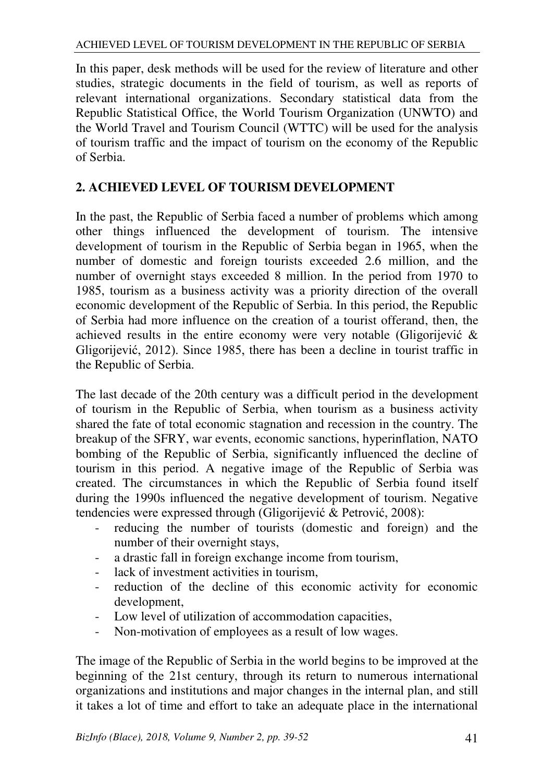In this paper, desk methods will be used for the review of literature and other studies, strategic documents in the field of tourism, as well as reports of relevant international organizations. Secondary statistical data from the Republic Statistical Office, the World Tourism Organization (UNWTO) and the World Travel and Tourism Council (WTTC) will be used for the analysis of tourism traffic and the impact of tourism on the economy of the Republic of Serbia.

### **2. ACHIEVED LEVEL OF TOURISM DEVELOPMENT**

In the past, the Republic of Serbia faced a number of problems which among other things influenced the development of tourism. The intensive development of tourism in the Republic of Serbia began in 1965, when the number of domestic and foreign tourists exceeded 2.6 million, and the number of overnight stays exceeded 8 million. In the period from 1970 to 1985, tourism as a business activity was a priority direction of the overall economic development of the Republic of Serbia. In this period, the Republic of Serbia had more influence on the creation of a tourist offerand, then, the achieved results in the entire economy were very notable (Gligorijević & Gligorijević, 2012). Since 1985, there has been a decline in tourist traffic in the Republic of Serbia.

The last decade of the 20th century was a difficult period in the development of tourism in the Republic of Serbia, when tourism as a business activity shared the fate of total economic stagnation and recession in the country. The breakup of the SFRY, war events, economic sanctions, hyperinflation, NATO bombing of the Republic of Serbia, significantly influenced the decline of tourism in this period. A negative image of the Republic of Serbia was created. The circumstances in which the Republic of Serbia found itself during the 1990s influenced the negative development of tourism. Negative tendencies were expressed through (Gligorijević & Petrović, 2008):

- reducing the number of tourists (domestic and foreign) and the number of their overnight stays,
- a drastic fall in foreign exchange income from tourism,
- lack of investment activities in tourism,
- reduction of the decline of this economic activity for economic development,
- Low level of utilization of accommodation capacities,
- Non-motivation of employees as a result of low wages.

The image of the Republic of Serbia in the world begins to be improved at the beginning of the 21st century, through its return to numerous international organizations and institutions and major changes in the internal plan, and still it takes a lot of time and effort to take an adequate place in the international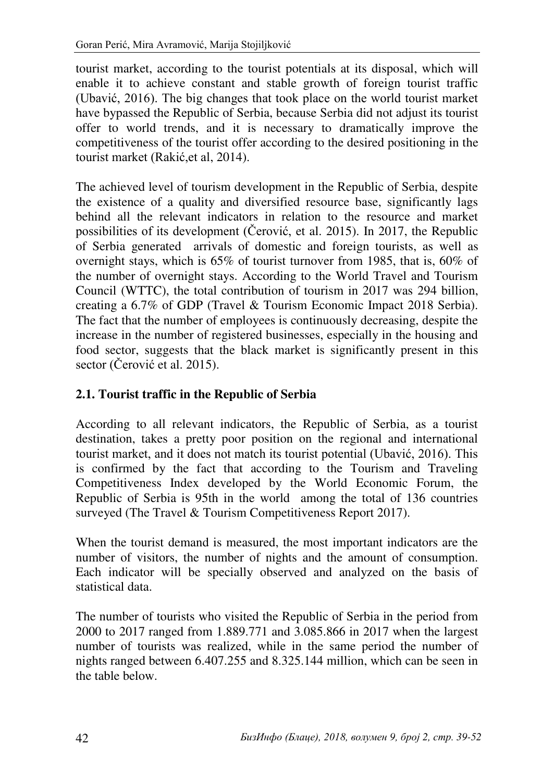tourist market, according to the tourist potentials at its disposal, which will enable it to achieve constant and stable growth of foreign tourist traffic (Ubavić, 2016). The big changes that took place on the world tourist market have bypassed the Republic of Serbia, because Serbia did not adjust its tourist offer to world trends, and it is necessary to dramatically improve the competitiveness of the tourist offer according to the desired positioning in the tourist market (Rakić,et al, 2014).

The achieved level of tourism development in the Republic of Serbia, despite the existence of a quality and diversified resource base, significantly lags behind all the relevant indicators in relation to the resource and market possibilities of its development (Čerović, et al. 2015). In 2017, the Republic of Serbia generated arrivals of domestic and foreign tourists, as well as overnight stays, which is 65% of tourist turnover from 1985, that is, 60% of the number of overnight stays. According to the World Travel and Tourism Council (WTTC), the total contribution of tourism in 2017 was 294 billion, creating a 6.7% of GDP (Travel & Tourism Economic Impact 2018 Serbia). The fact that the number of employees is continuously decreasing, despite the increase in the number of registered businesses, especially in the housing and food sector, suggests that the black market is significantly present in this sector (Čerović et al. 2015).

# **2.1. Tourist traffic in the Republic of Serbia**

According to all relevant indicators, the Republic of Serbia, as a tourist destination, takes a pretty poor position on the regional and international tourist market, and it does not match its tourist potential (Ubavić, 2016). This is confirmed by the fact that according to the Tourism and Traveling Competitiveness Index developed by the World Economic Forum, the Republic of Serbia is 95th in the world among the total of 136 countries surveyed (The Travel & Tourism Competitiveness Report 2017).

When the tourist demand is measured, the most important indicators are the number of visitors, the number of nights and the amount of consumption. Each indicator will be specially observed and analyzed on the basis of statistical data.

The number of tourists who visited the Republic of Serbia in the period from 2000 to 2017 ranged from 1.889.771 and 3.085.866 in 2017 when the largest number of tourists was realized, while in the same period the number of nights ranged between 6.407.255 and 8.325.144 million, which can be seen in the table below.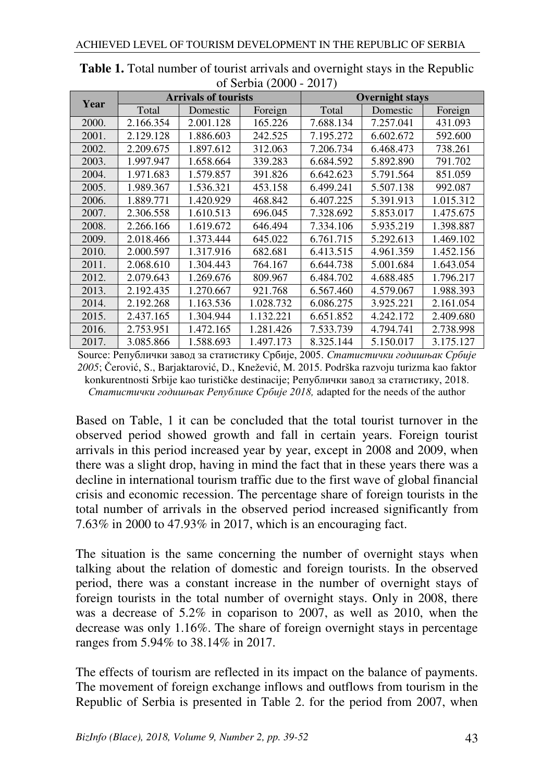|       |                             |           | $\frac{1}{2}$ . Deficit $\frac{1}{2}$ . Defined the set of $\frac{1}{2}$ |                        |           |           |
|-------|-----------------------------|-----------|--------------------------------------------------------------------------|------------------------|-----------|-----------|
| Year  | <b>Arrivals of tourists</b> |           |                                                                          | <b>Overnight stays</b> |           |           |
|       | Total                       | Domestic  | Foreign                                                                  | Total                  | Domestic  | Foreign   |
| 2000. | 2.166.354                   | 2.001.128 | 165.226                                                                  | 7.688.134              | 7.257.041 | 431.093   |
| 2001. | 2.129.128                   | 1.886.603 | 242.525                                                                  | 7.195.272              | 6.602.672 | 592.600   |
| 2002. | 2.209.675                   | 1.897.612 | 312.063                                                                  | 7.206.734              | 6.468.473 | 738.261   |
| 2003. | 1.997.947                   | 1.658.664 | 339.283                                                                  | 6.684.592              | 5.892.890 | 791.702   |
| 2004. | 1.971.683                   | 1.579.857 | 391.826                                                                  | 6.642.623              | 5.791.564 | 851.059   |
| 2005. | 1.989.367                   | 1.536.321 | 453.158                                                                  | 6.499.241              | 5.507.138 | 992.087   |
| 2006. | 1.889.771                   | 1.420.929 | 468.842                                                                  | 6.407.225              | 5.391.913 | 1.015.312 |
| 2007. | 2.306.558                   | 1.610.513 | 696.045                                                                  | 7.328.692              | 5.853.017 | 1.475.675 |
| 2008. | 2.266.166                   | 1.619.672 | 646.494                                                                  | 7.334.106              | 5.935.219 | 1.398.887 |
| 2009. | 2.018.466                   | 1.373.444 | 645.022                                                                  | 6.761.715              | 5.292.613 | 1.469.102 |
| 2010. | 2.000.597                   | 1.317.916 | 682.681                                                                  | 6.413.515              | 4.961.359 | 1.452.156 |
| 2011. | 2.068.610                   | 1.304.443 | 764.167                                                                  | 6.644.738              | 5.001.684 | 1.643.054 |
| 2012. | 2.079.643                   | 1.269.676 | 809.967                                                                  | 6.484.702              | 4.688.485 | 1.796.217 |
| 2013. | 2.192.435                   | 1.270.667 | 921.768                                                                  | 6.567.460              | 4.579.067 | 1.988.393 |
| 2014. | 2.192.268                   | 1.163.536 | 1.028.732                                                                | 6.086.275              | 3.925.221 | 2.161.054 |
| 2015. | 2.437.165                   | 1.304.944 | 1.132.221                                                                | 6.651.852              | 4.242.172 | 2.409.680 |
| 2016. | 2.753.951                   | 1.472.165 | 1.281.426                                                                | 7.533.739              | 4.794.741 | 2.738.998 |
| 2017. | 3.085.866                   | 1.588.693 | 1.497.173                                                                | 8.325.144              | 5.150.017 | 3.175.127 |

**Table 1.** Total number of tourist arrivals and overnight stays in the Republic of Serbia (2000 - 2017)

Source: Републички завод за статистику Србије, 2005. *Статистички годишњак Србије 2005*; Čerović, S., Barjaktarović, D., Knežević, M. 2015. Podrška razvoju turizma kao faktor konkurentnosti Srbije kao turističke destinacije; Републички завод за статистику, 2018. *Статистички годишњак Републике Србије 2018,* adapted for the needs of the author

Based on Table, 1 it can be concluded that the total tourist turnover in the observed period showed growth and fall in certain years. Foreign tourist arrivals in this period increased year by year, except in 2008 and 2009, when there was a slight drop, having in mind the fact that in these years there was a decline in international tourism traffic due to the first wave of global financial crisis and economic recession. The percentage share of foreign tourists in the total number of arrivals in the observed period increased significantly from 7.63% in 2000 to 47.93% in 2017, which is an encouraging fact.

The situation is the same concerning the number of overnight stays when talking about the relation of domestic and foreign tourists. In the observed period, there was a constant increase in the number of overnight stays of foreign tourists in the total number of overnight stays. Only in 2008, there was a decrease of 5.2% in coparison to 2007, as well as 2010, when the decrease was only 1.16%. The share of foreign overnight stays in percentage ranges from 5.94% to 38.14% in 2017.

The effects of tourism are reflected in its impact on the balance of payments. The movement of foreign exchange inflows and outflows from tourism in the Republic of Serbia is presented in Table 2. for the period from 2007, when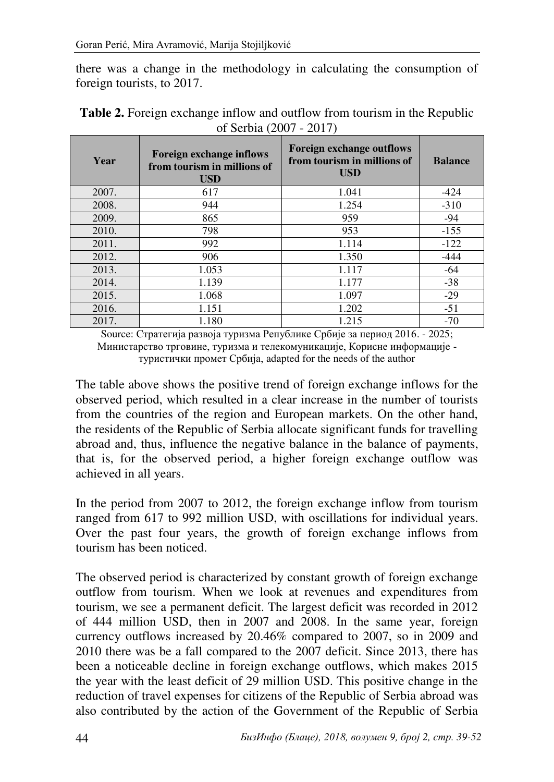there was a change in the methodology in calculating the consumption of foreign tourists, to 2017.

| Year  | <b>Foreign exchange inflows</b><br>from tourism in millions of<br><b>USD</b> | <b>Foreign exchange outflows</b><br>from tourism in millions of<br><b>USD</b> | <b>Balance</b> |
|-------|------------------------------------------------------------------------------|-------------------------------------------------------------------------------|----------------|
| 2007. | 617                                                                          | 1.041                                                                         | $-424$         |
| 2008. | 944                                                                          | 1.254                                                                         | $-310$         |
| 2009. | 865                                                                          | 959                                                                           | -94            |
| 2010. | 798                                                                          | 953                                                                           | $-155$         |
| 2011. | 992                                                                          | 1.114                                                                         | $-122$         |
| 2012. | 906                                                                          | 1.350                                                                         | -444           |
| 2013. | 1.053                                                                        | 1.117                                                                         | -64            |
| 2014. | 1.139                                                                        | 1.177                                                                         | $-38$          |
| 2015. | 1.068                                                                        | 1.097                                                                         | $-29$          |
| 2016. | 1.151                                                                        | 1.202                                                                         | $-51$          |
| 2017. | 1.180                                                                        | 1.215                                                                         | $-70$          |

| <b>Table 2.</b> Foreign exchange inflow and outflow from tourism in the Republic |
|----------------------------------------------------------------------------------|
| of Serbia (2007 - 2017)                                                          |

Source: Стратегија развоја туризма Републике Србије за период 2016. - 2025; Министарство трговине, туризма и телекомуникације, Корисне информације туристички промет Србија, adapted for the needs of the author

The table above shows the positive trend of foreign exchange inflows for the observed period, which resulted in a clear increase in the number of tourists from the countries of the region and European markets. On the other hand, the residents of the Republic of Serbia allocate significant funds for travelling abroad and, thus, influence the negative balance in the balance of payments, that is, for the observed period, a higher foreign exchange outflow was achieved in all years.

In the period from 2007 to 2012, the foreign exchange inflow from tourism ranged from 617 to 992 million USD, with oscillations for individual years. Over the past four years, the growth of foreign exchange inflows from tourism has been noticed.

The observed period is characterized by constant growth of foreign exchange outflow from tourism. When we look at revenues and expenditures from tourism, we see a permanent deficit. The largest deficit was recorded in 2012 of 444 million USD, then in 2007 and 2008. In the same year, foreign currency outflows increased by 20.46% compared to 2007, so in 2009 and 2010 there was be a fall compared to the 2007 deficit. Since 2013, there has been a noticeable decline in foreign exchange outflows, which makes 2015 the year with the least deficit of 29 million USD. This positive change in the reduction of travel expenses for citizens of the Republic of Serbia abroad was also contributed by the action of the Government of the Republic of Serbia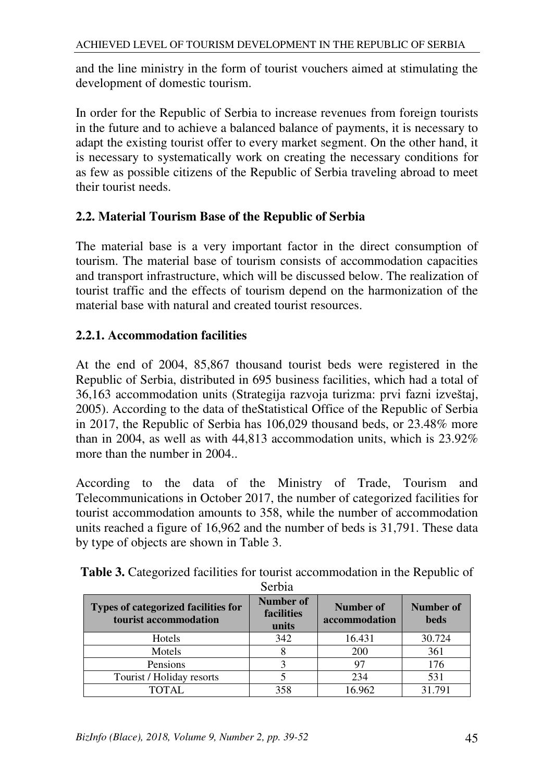and the line ministry in the form of tourist vouchers aimed at stimulating the development of domestic tourism.

In order for the Republic of Serbia to increase revenues from foreign tourists in the future and to achieve a balanced balance of payments, it is necessary to adapt the existing tourist offer to every market segment. On the other hand, it is necessary to systematically work on creating the necessary conditions for as few as possible citizens of the Republic of Serbia traveling abroad to meet their tourist needs.

#### **2.2. Material Tourism Base of the Republic of Serbia**

The material base is a very important factor in the direct consumption of tourism. The material base of tourism consists of accommodation capacities and transport infrastructure, which will be discussed below. The realization of tourist traffic and the effects of tourism depend on the harmonization of the material base with natural and created tourist resources.

# **2.2.1. Accommodation facilities**

At the end of 2004, 85,867 thousand tourist beds were registered in the Republic of Serbia, distributed in 695 business facilities, which had a total of 36,163 accommodation units (Strategija razvoja turizma: prvi fazni izveštaj, 2005). According to the data of theStatistical Office of the Republic of Serbia in 2017, the Republic of Serbia has 106,029 thousand beds, or 23.48% more than in 2004, as well as with 44,813 accommodation units, which is 23.92% more than the number in 2004..

According to the data of the Ministry of Trade, Tourism and Telecommunications in October 2017, the number of categorized facilities for tourist accommodation amounts to 358, while the number of accommodation units reached a figure of 16,962 and the number of beds is 31,791. These data by type of objects are shown in Table 3.

|                                                                     | Serbia                           |                            |                          |
|---------------------------------------------------------------------|----------------------------------|----------------------------|--------------------------|
| <b>Types of categorized facilities for</b><br>tourist accommodation | Number of<br>facilities<br>units | Number of<br>accommodation | Number of<br><b>beds</b> |
| Hotels                                                              | 342                              | 16.431                     | 30.724                   |
| Motels                                                              |                                  | 200                        | 361                      |
| Pensions                                                            |                                  | 97                         | 176                      |
| Tourist / Holiday resorts                                           |                                  | 234                        | 531                      |
| <b>TOTAL</b>                                                        | 358                              | 16.962                     | 31.791                   |

**Table 3.** Categorized facilities for tourist accommodation in the Republic of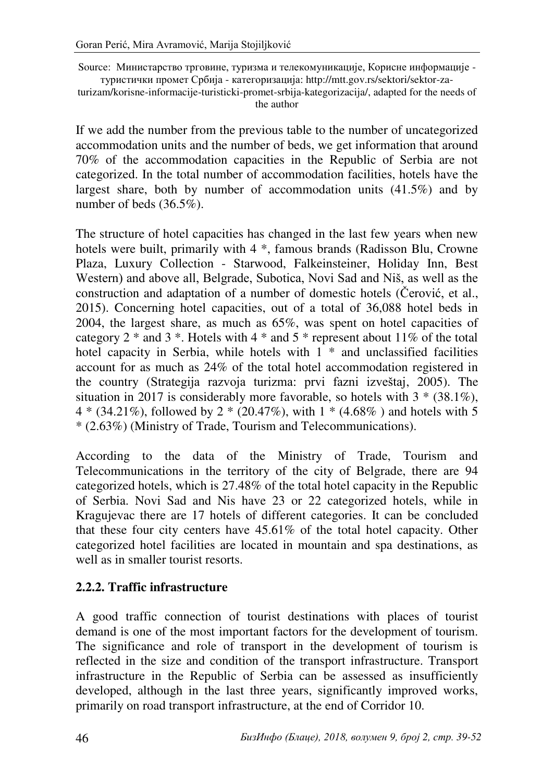Source: Министарство трговине, туризма и телекомуникације, Корисне информације туристички промет Србија - категоризација: http://mtt.gov.rs/sektori/sektor-za-

turizam/korisne-informacije-turisticki-promet-srbija-kategorizacija/, adapted for the needs of the author

If we add the number from the previous table to the number of uncategorized accommodation units and the number of beds, we get information that around 70% of the accommodation capacities in the Republic of Serbia are not categorized. In the total number of accommodation facilities, hotels have the largest share, both by number of accommodation units (41.5%) and by number of beds (36.5%).

The structure of hotel capacities has changed in the last few years when new hotels were built, primarily with 4 \*, famous brands (Radisson Blu, Crowne Plaza, Luxury Collection - Starwood, Falkeinsteiner, Holiday Inn, Best Western) and above all, Belgrade, Subotica, Novi Sad and Niš, as well as the construction and adaptation of a number of domestic hotels (Čerović, et al., 2015). Concerning hotel capacities, out of a total of 36,088 hotel beds in 2004, the largest share, as much as 65%, was spent on hotel capacities of category 2  $*$  and 3  $*$ . Hotels with 4  $*$  and 5  $*$  represent about 11% of the total hotel capacity in Serbia, while hotels with  $1 *$  and unclassified facilities account for as much as 24% of the total hotel accommodation registered in the country (Strategija razvoja turizma: prvi fazni izveštaj, 2005). The situation in 2017 is considerably more favorable, so hotels with  $3 * (38.1\%)$ ,  $4 * (34.21\%)$ , followed by  $2 * (20.47\%)$ , with  $1 * (4.68\%)$  and hotels with 5 \* (2.63%) (Ministry of Trade, Tourism and Telecommunications).

According to the data of the Ministry of Trade, Tourism and Telecommunications in the territory of the city of Belgrade, there are 94 categorized hotels, which is 27.48% of the total hotel capacity in the Republic of Serbia. Novi Sad and Nis have 23 or 22 categorized hotels, while in Kragujevac there are 17 hotels of different categories. It can be concluded that these four city centers have 45.61% of the total hotel capacity. Other categorized hotel facilities are located in mountain and spa destinations, as well as in smaller tourist resorts.

#### **2.2.2. Traffic infrastructure**

A good traffic connection of tourist destinations with places of tourist demand is one of the most important factors for the development of tourism. The significance and role of transport in the development of tourism is reflected in the size and condition of the transport infrastructure. Transport infrastructure in the Republic of Serbia can be assessed as insufficiently developed, although in the last three years, significantly improved works, primarily on road transport infrastructure, at the end of Corridor 10.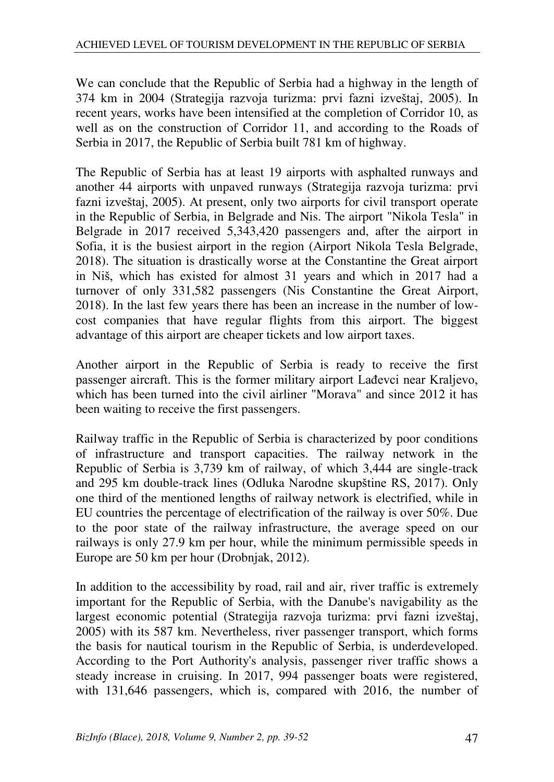We can conclude that the Republic of Serbia had a highway in the length of 374 km in 2004 (Strategija razvoja turizma: prvi fazni izveštaj, 2005). In recent years, works have been intensified at the completion of Corridor 10, as well as on the construction of Corridor 11, and according to the Roads of Serbia in 2017, the Republic of Serbia built 781 km of highway.

The Republic of Serbia has at least 19 airports with asphalted runways and another 44 airports with unpaved runways (Strategija razvoja turizma: prvi fazni izveštaj, 2005). At present, only two airports for civil transport operate in the Republic of Serbia, in Belgrade and Nis. The airport "Nikola Tesla" in Belgrade in 2017 received 5,343,420 passengers and, after the airport in Sofia, it is the busiest airport in the region (Airport Nikola Tesla Belgrade, 2018). The situation is drastically worse at the Constantine the Great airport in Niš, which has existed for almost 31 years and which in 2017 had a turnover of only 331,582 passengers (Nis Constantine the Great Airport, 2018). In the last few years there has been an increase in the number of lowcost companies that have regular flights from this airport. The biggest advantage of this airport are cheaper tickets and low airport taxes.

Another airport in the Republic of Serbia is ready to receive the first passenger aircraft. This is the former military airport Lađevci near Kraljevo, which has been turned into the civil airliner "Morava" and since 2012 it has been waiting to receive the first passengers.

Railway traffic in the Republic of Serbia is characterized by poor conditions of infrastructure and transport capacities. The railway network in the Republic of Serbia is 3,739 km of railway, of which 3,444 are single-track and 295 km double-track lines (Odluka Narodne skupštine RS, 2017). Only one third of the mentioned lengths of railway network is electrified, while in EU countries the percentage of electrification of the railway is over 50%. Due to the poor state of the railway infrastructure, the average speed on our railways is only 27.9 km per hour, while the minimum permissible speeds in Europe are 50 km per hour (Drobnjak, 2012).

In addition to the accessibility by road, rail and air, river traffic is extremely important for the Republic of Serbia, with the Danube's navigability as the largest economic potential (Strategija razvoja turizma: prvi fazni izveštaj, 2005) with its 587 km. Nevertheless, river passenger transport, which forms the basis for nautical tourism in the Republic of Serbia, is underdeveloped. According to the Port Authority's analysis, passenger river traffic shows a steady increase in cruising. In 2017, 994 passenger boats were registered, with 131,646 passengers, which is, compared with 2016, the number of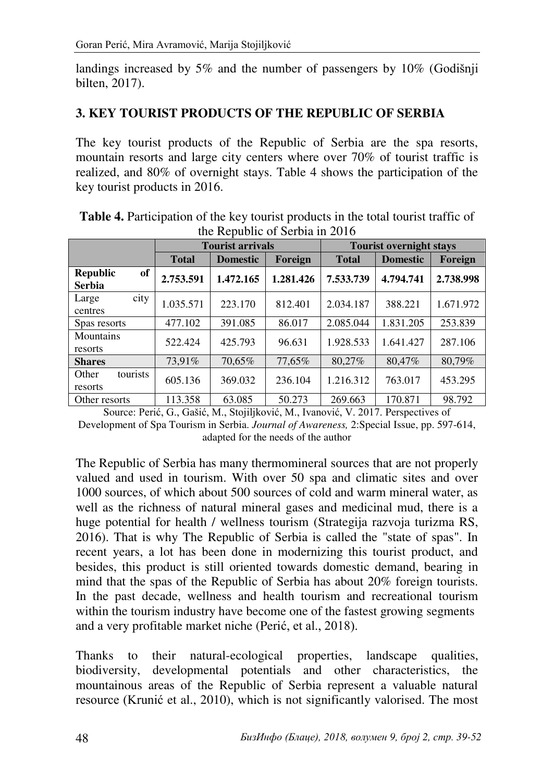landings increased by 5% and the number of passengers by 10% (Godišnji bilten, 2017).

#### **3. KEY TOURIST PRODUCTS OF THE REPUBLIC OF SERBIA**

The key tourist products of the Republic of Serbia are the spa resorts, mountain resorts and large city centers where over 70% of tourist traffic is realized, and 80% of overnight stays. Table 4 shows the participation of the key tourist products in 2016.

|                                               | <b>Tourist arrivals</b> |                 |           | <b>Tourist overnight stays</b> |                 |           |
|-----------------------------------------------|-------------------------|-----------------|-----------|--------------------------------|-----------------|-----------|
|                                               | <b>Total</b>            | <b>Domestic</b> | Foreign   | <b>Total</b>                   | <b>Domestic</b> | Foreign   |
| <b>Republic</b><br><b>of</b><br><b>Serbia</b> | 2.753.591               | 1.472.165       | 1.281.426 | 7.533.739                      | 4.794.741       | 2.738.998 |
| city<br>Large<br>centres                      | 1.035.571               | 223.170         | 812.401   | 2.034.187                      | 388.221         | 1.671.972 |
| Spas resorts                                  | 477.102                 | 391.085         | 86.017    | 2.085.044                      | 1.831.205       | 253.839   |
| Mountains<br>resorts                          | 522.424                 | 425.793         | 96.631    | 1.928.533                      | 1.641.427       | 287.106   |
| <b>Shares</b>                                 | 73.91%                  | 70,65%          | 77,65%    | 80.27%                         | 80,47%          | 80,79%    |
| tourists<br>Other<br>resorts                  | 605.136                 | 369.032         | 236.104   | 1.216.312                      | 763.017         | 453.295   |
| Other resorts                                 | 113.358                 | 63.085          | 50.273    | 269.663                        | 170.871         | 98.792    |

| <b>Table 4.</b> Participation of the key tourist products in the total tourist traffic of |
|-------------------------------------------------------------------------------------------|
| the Republic of Serbia in 2016                                                            |

Source: Perić, G., Gašić, M., Stojiljković, M., Ivanović, V. 2017. Perspectives of Development of Spa Tourism in Serbia. *Journal of Awareness,* 2:Special Issue, pp. 597-614, adapted for the needs of the author

The Republic of Serbia has many thermomineral sources that are not properly valued and used in tourism. With over 50 spa and climatic sites and over 1000 sources, of which about 500 sources of cold and warm mineral water, as well as the richness of natural mineral gases and medicinal mud, there is a huge potential for health / wellness tourism (Strategija razvoja turizma RS, 2016). That is why The Republic of Serbia is called the "state of spas". In recent years, a lot has been done in modernizing this tourist product, and besides, this product is still oriented towards domestic demand, bearing in mind that the spas of the Republic of Serbia has about 20% foreign tourists. In the past decade, wellness and health tourism and recreational tourism within the tourism industry have become one of the fastest growing segments and a very profitable market niche (Perić, et al., 2018).

Thanks to their natural-ecological properties, landscape qualities, biodiversity, developmental potentials and other characteristics, the mountainous areas of the Republic of Serbia represent a valuable natural resource (Krunić et al., 2010), which is not significantly valorised. The most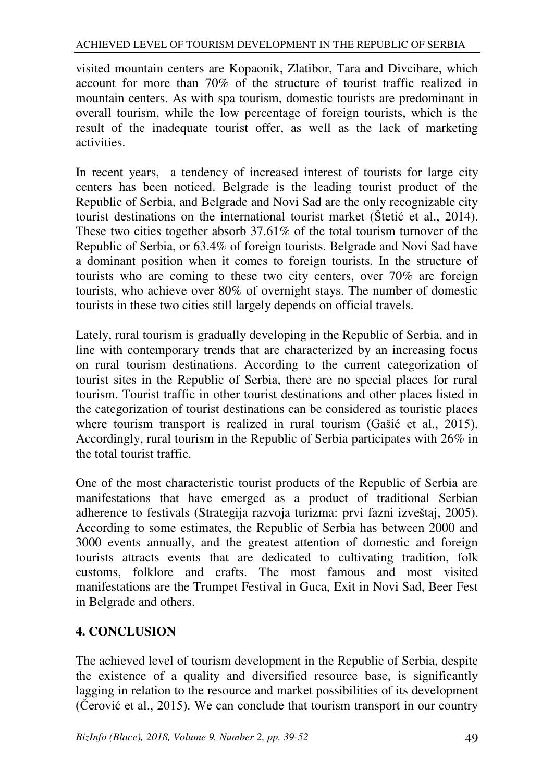visited mountain centers are Kopaonik, Zlatibor, Tara and Divcibare, which account for more than 70% of the structure of tourist traffic realized in mountain centers. As with spa tourism, domestic tourists are predominant in overall tourism, while the low percentage of foreign tourists, which is the result of the inadequate tourist offer, as well as the lack of marketing activities.

In recent years, a tendency of increased interest of tourists for large city centers has been noticed. Belgrade is the leading tourist product of the Republic of Serbia, and Belgrade and Novi Sad are the only recognizable city tourist destinations on the international tourist market (Štetić et al., 2014). These two cities together absorb 37.61% of the total tourism turnover of the Republic of Serbia, or 63.4% of foreign tourists. Belgrade and Novi Sad have a dominant position when it comes to foreign tourists. In the structure of tourists who are coming to these two city centers, over 70% are foreign tourists, who achieve over 80% of overnight stays. The number of domestic tourists in these two cities still largely depends on official travels.

Lately, rural tourism is gradually developing in the Republic of Serbia, and in line with contemporary trends that are characterized by an increasing focus on rural tourism destinations. According to the current categorization of tourist sites in the Republic of Serbia, there are no special places for rural tourism. Tourist traffic in other tourist destinations and other places listed in the categorization of tourist destinations can be considered as touristic places where tourism transport is realized in rural tourism (Gašić et al., 2015). Accordingly, rural tourism in the Republic of Serbia participates with 26% in the total tourist traffic.

One of the most characteristic tourist products of the Republic of Serbia are manifestations that have emerged as a product of traditional Serbian adherence to festivals (Strategija razvoja turizma: prvi fazni izveštaj, 2005). According to some estimates, the Republic of Serbia has between 2000 and 3000 events annually, and the greatest attention of domestic and foreign tourists attracts events that are dedicated to cultivating tradition, folk customs, folklore and crafts. The most famous and most visited manifestations are the Trumpet Festival in Guca, Exit in Novi Sad, Beer Fest in Belgrade and others.

# **4. CONCLUSION**

The achieved level of tourism development in the Republic of Serbia, despite the existence of a quality and diversified resource base, is significantly lagging in relation to the resource and market possibilities of its development (Čerović et al., 2015). We can conclude that tourism transport in our country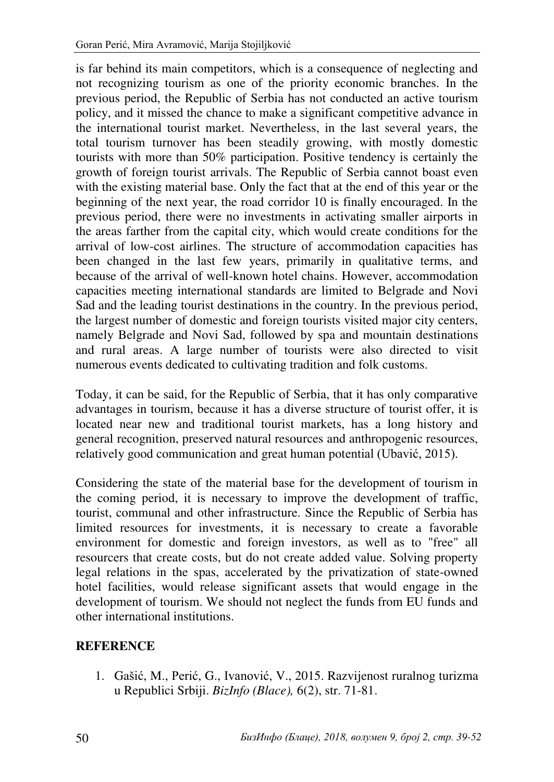is far behind its main competitors, which is a consequence of neglecting and not recognizing tourism as one of the priority economic branches. In the previous period, the Republic of Serbia has not conducted an active tourism policy, and it missed the chance to make a significant competitive advance in the international tourist market. Nevertheless, in the last several years, the total tourism turnover has been steadily growing, with mostly domestic tourists with more than 50% participation. Positive tendency is certainly the growth of foreign tourist arrivals. The Republic of Serbia cannot boast even with the existing material base. Only the fact that at the end of this year or the beginning of the next year, the road corridor 10 is finally encouraged. In the previous period, there were no investments in activating smaller airports in the areas farther from the capital city, which would create conditions for the arrival of low-cost airlines. The structure of accommodation capacities has been changed in the last few years, primarily in qualitative terms, and because of the arrival of well-known hotel chains. However, accommodation capacities meeting international standards are limited to Belgrade and Novi Sad and the leading tourist destinations in the country. In the previous period, the largest number of domestic and foreign tourists visited major city centers, namely Belgrade and Novi Sad, followed by spa and mountain destinations and rural areas. A large number of tourists were also directed to visit numerous events dedicated to cultivating tradition and folk customs.

Today, it can be said, for the Republic of Serbia, that it has only comparative advantages in tourism, because it has a diverse structure of tourist offer, it is located near new and traditional tourist markets, has a long history and general recognition, preserved natural resources and anthropogenic resources, relatively good communication and great human potential (Ubavić, 2015).

Considering the state of the material base for the development of tourism in the coming period, it is necessary to improve the development of traffic, tourist, communal and other infrastructure. Since the Republic of Serbia has limited resources for investments, it is necessary to create a favorable environment for domestic and foreign investors, as well as to "free" all resourcers that create costs, but do not create added value. Solving property legal relations in the spas, accelerated by the privatization of state-owned hotel facilities, would release significant assets that would engage in the development of tourism. We should not neglect the funds from EU funds and other international institutions.

#### **REFERENCE**

1. Gašić, M., Perić, G., Ivanović, V., 2015. Razvijenost ruralnog turizma u Republici Srbiji. *BizInfo (Blace),* 6(2), str. 71-81.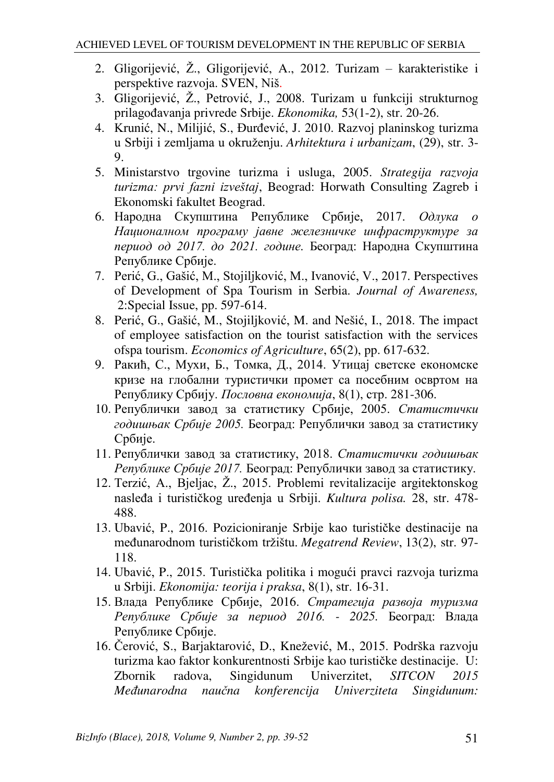- 2. Gligorijević, Ž., Gligorijević, A., 2012. Turizam karakteristike i perspektive razvoja. SVEN, Niš.
- 3. Gligorijević, Ž., Petrović, J., 2008. Turizam u funkciji strukturnog prilagođavanja privrede Srbije. *Ekonomika,* 53(1-2), str. 20-26.
- 4. Krunić, N., Milijić, S., Đurđević, J. 2010. Razvoj planinskog turizma u Srbiji i zemljama u okruženju. *Arhitektura i urbanizam*, (29), str. 3- 9.
- 5. Ministarstvo trgovine turizma i usluga, 2005. *Strategija razvoja turizma: prvi fazni izveštaj*, Beograd: Horwath Consulting Zagreb i Ekonomski fakultet Beograd.
- 6. Народна Скупштина Републике Србије, 2017. *Одлука о Националном програму јавне железничке инфраструктуре за период од 2017. до 2021. године.* Београд: Народна Скупштина Републике Србије.
- 7. Perić, G., Gašić, M., Stojiljković, M., Ivanović, V., 2017. Perspectives of Development of Spa Tourism in Serbia. *Journal of Awareness,*  2:Special Issue, pp. 597-614.
- 8. Perić, G., Gašić, M., Stojiljković, M. and Nešić, I., 2018. The impact of employee satisfaction on the tourist satisfaction with the services ofspa tourism. *Economics of Agriculture*, 65(2), pp. 617-632.
- 9. Ракић, С., Мухи, Б., Томка, Д., 2014. Утицај светске економске кризе на глобални туристички промет са посебним освртом на Републику Србију. *Пословна економија*, 8(1), стр. 281-306.
- 10. Републички завод за статистику Србије, 2005. *Статистички годишњак Србије 2005.* Београд: Републички завод за статистику Србије.
- 11. Републички завод за статистику, 2018. *Статистички годишњак Републике Србије 2017.* Београд: Републички завод за статистику.
- 12. Terzić, A., Bjeljac, Ž., 2015. Problemi revitalizacije argitektonskog nasleđa i turističkog uređenja u Srbiji. *Kultura polisa.* 28, str. 478- 488.
- 13. Ubavić, P., 2016. Pozicioniranje Srbije kao turističke destinacije na međunarodnom turističkom tržištu. *Megatrend Review*, 13(2), str. 97- 118.
- 14. Ubavić, P., 2015. Turistička politika i mogući pravci razvoja turizma u Srbiji. *Ekonomija: teorija i praksa*, 8(1), str. 16-31.
- 15. Влада Републике Србије, 2016. *Стратегија развоја туризма Републике Србије за период 2016. - 2025.* Београд: Влада Републике Србије.
- 16. Čerović, S., Barjaktarović, D., Knežević, M., 2015. Podrška razvoju turizma kao faktor konkurentnosti Srbije kao turističke destinacije. U:<br>Zbornik radova, Singidunum Univerzitet, SITCON 2015 Zbornik radova, Singidunum Univerzitet, *SITCON 2015 Međunarodna naučna konferencija Univerziteta Singidunum:*